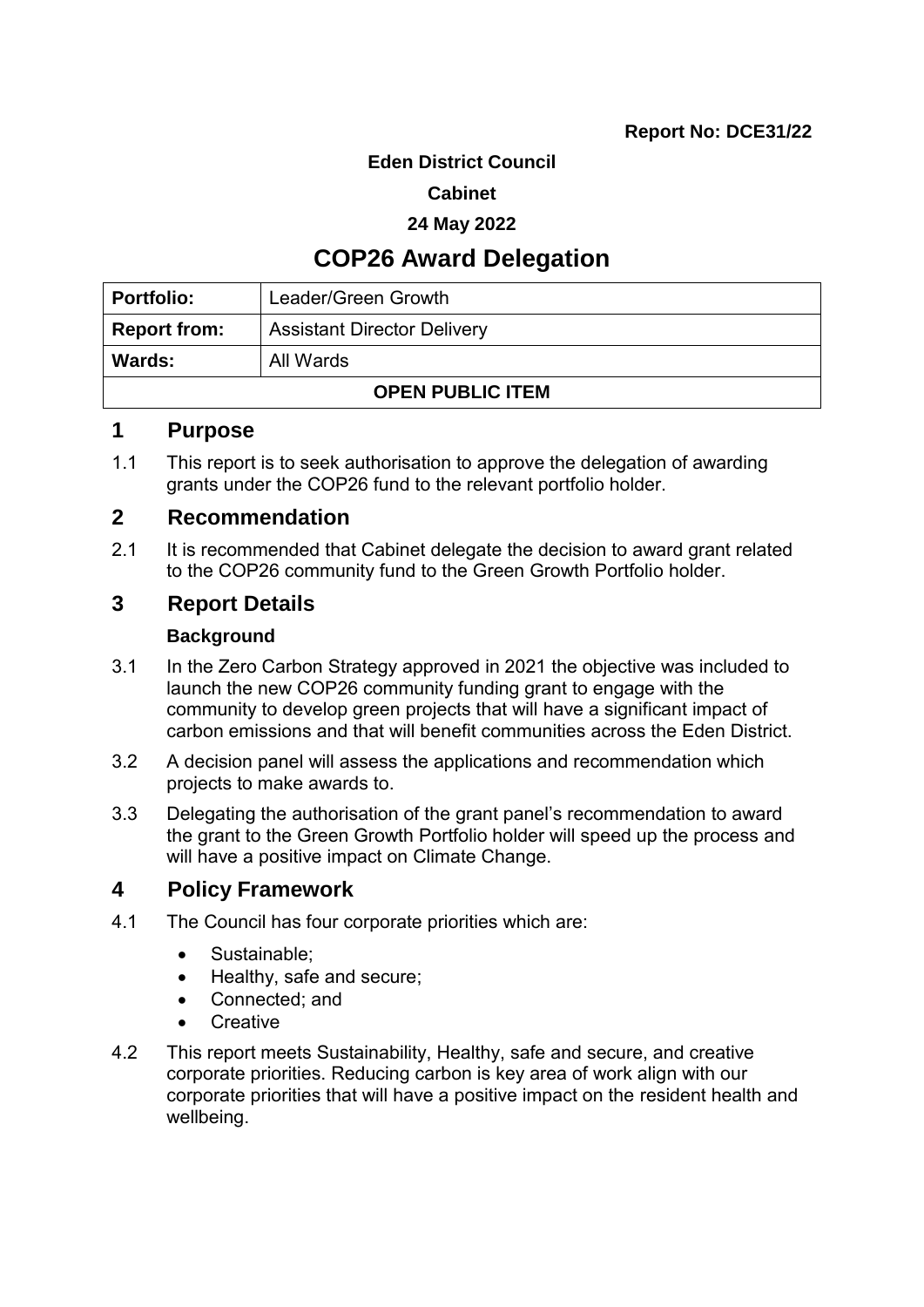### **Eden District Council**

### **Cabinet**

### **24 May 2022**

# **COP26 Award Delegation**

| Portfolio:              | Leader/Green Growth                |  |
|-------------------------|------------------------------------|--|
| Report from:            | <b>Assistant Director Delivery</b> |  |
| <b>Wards:</b>           | All Wards                          |  |
| <b>OPEN PUBLIC ITEM</b> |                                    |  |

# **1 Purpose**

1.1 This report is to seek authorisation to approve the delegation of awarding grants under the COP26 fund to the relevant portfolio holder.

# **2 Recommendation**

2.1 It is recommended that Cabinet delegate the decision to award grant related to the COP26 community fund to the Green Growth Portfolio holder.

# **3 Report Details**

### **Background**

- 3.1 In the Zero Carbon Strategy approved in 2021 the objective was included to launch the new COP26 community funding grant to engage with the community to develop green projects that will have a significant impact of carbon emissions and that will benefit communities across the Eden District.
- 3.2 A decision panel will assess the applications and recommendation which projects to make awards to.
- 3.3 Delegating the authorisation of the grant panel's recommendation to award the grant to the Green Growth Portfolio holder will speed up the process and will have a positive impact on Climate Change.

# **4 Policy Framework**

- 4.1 The Council has four corporate priorities which are:
	- Sustainable;
	- Healthy, safe and secure;
	- Connected; and
	- Creative
- 4.2 This report meets Sustainability, Healthy, safe and secure, and creative corporate priorities. Reducing carbon is key area of work align with our corporate priorities that will have a positive impact on the resident health and wellbeing.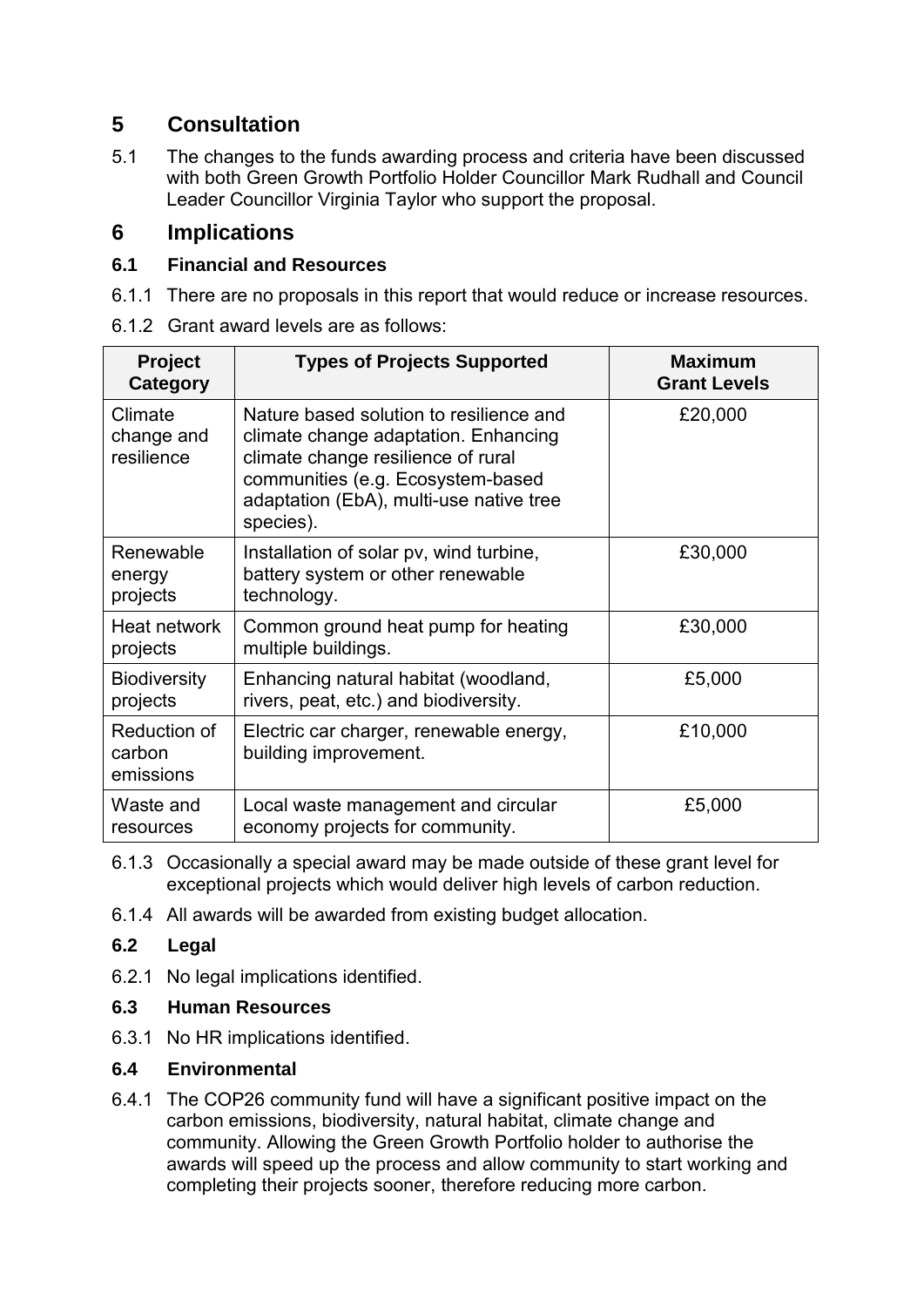# **5 Consultation**

5.1 The changes to the funds awarding process and criteria have been discussed with both Green Growth Portfolio Holder Councillor Mark Rudhall and Council Leader Councillor Virginia Taylor who support the proposal.

# **6 Implications**

# **6.1 Financial and Resources**

- 6.1.1 There are no proposals in this report that would reduce or increase resources.
- 6.1.2 Grant award levels are as follows:

| <b>Project</b><br>Category          | <b>Types of Projects Supported</b>                                                                                                                                                                                 | <b>Maximum</b><br><b>Grant Levels</b> |
|-------------------------------------|--------------------------------------------------------------------------------------------------------------------------------------------------------------------------------------------------------------------|---------------------------------------|
| Climate<br>change and<br>resilience | Nature based solution to resilience and<br>climate change adaptation. Enhancing<br>climate change resilience of rural<br>communities (e.g. Ecosystem-based<br>adaptation (EbA), multi-use native tree<br>species). | £20,000                               |
| Renewable<br>energy<br>projects     | Installation of solar pv, wind turbine,<br>battery system or other renewable<br>technology.                                                                                                                        | £30,000                               |
| Heat network<br>projects            | Common ground heat pump for heating<br>multiple buildings.                                                                                                                                                         | £30,000                               |
| <b>Biodiversity</b><br>projects     | Enhancing natural habitat (woodland,<br>rivers, peat, etc.) and biodiversity.                                                                                                                                      | £5,000                                |
| Reduction of<br>carbon<br>emissions | Electric car charger, renewable energy,<br>building improvement.                                                                                                                                                   | £10,000                               |
| Waste and<br>resources              | Local waste management and circular<br>economy projects for community.                                                                                                                                             | £5,000                                |

- 6.1.3 Occasionally a special award may be made outside of these grant level for exceptional projects which would deliver high levels of carbon reduction.
- 6.1.4 All awards will be awarded from existing budget allocation.

# **6.2 Legal**

- 6.2.1 No legal implications identified.
- **6.3 Human Resources**
- 6.3.1 No HR implications identified.

# **6.4 Environmental**

6.4.1 The COP26 community fund will have a significant positive impact on the carbon emissions, biodiversity, natural habitat, climate change and community. Allowing the Green Growth Portfolio holder to authorise the awards will speed up the process and allow community to start working and completing their projects sooner, therefore reducing more carbon.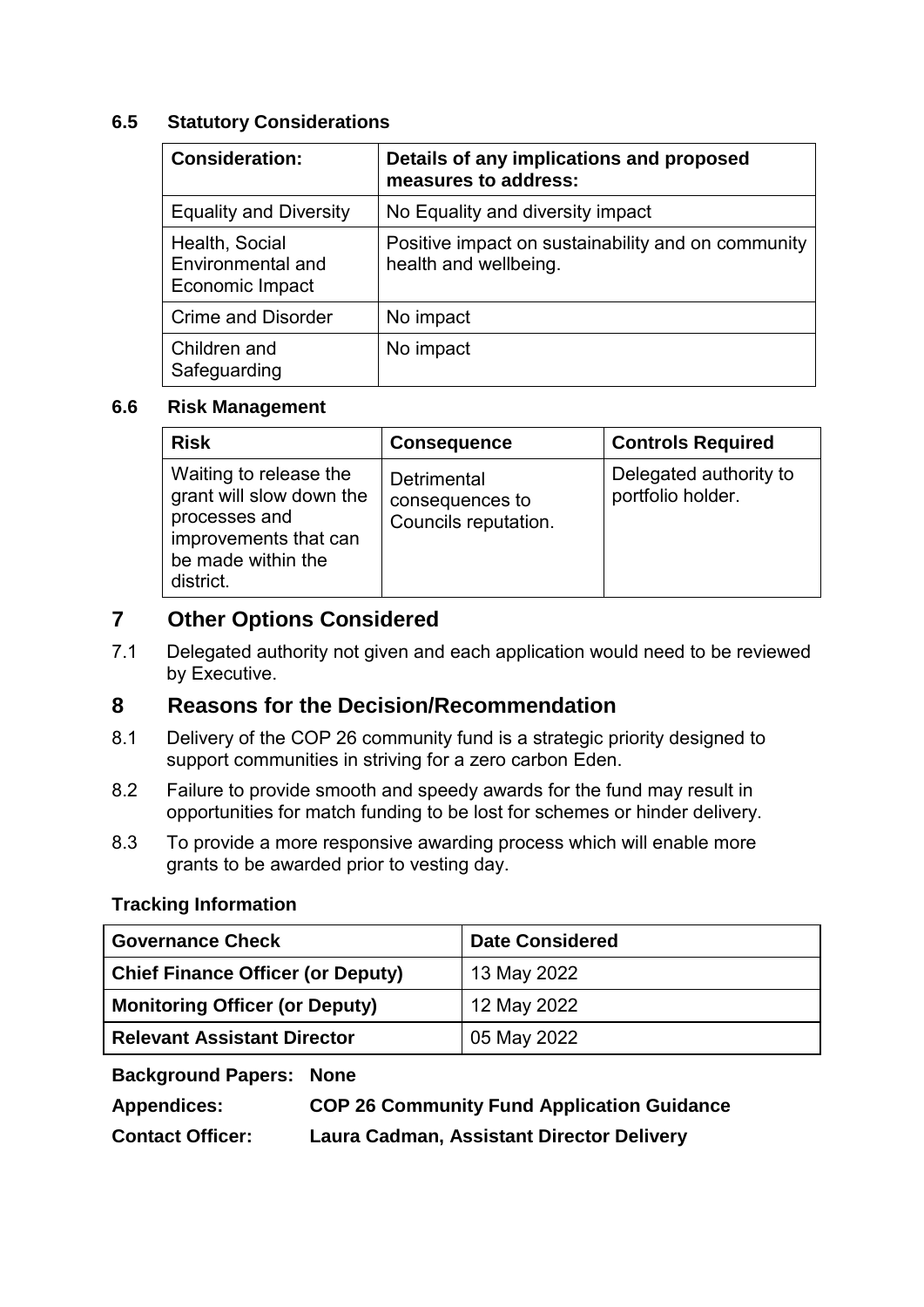### **6.5 Statutory Considerations**

| <b>Consideration:</b>                                  | Details of any implications and proposed<br>measures to address:            |
|--------------------------------------------------------|-----------------------------------------------------------------------------|
| <b>Equality and Diversity</b>                          | No Equality and diversity impact                                            |
| Health, Social<br>Environmental and<br>Economic Impact | Positive impact on sustainability and on community<br>health and wellbeing. |
| <b>Crime and Disorder</b>                              | No impact                                                                   |
| Children and<br>Safeguarding                           | No impact                                                                   |

### **6.6 Risk Management**

| <b>Risk</b>                                                                                                                     | <b>Consequence</b>                                     | <b>Controls Required</b>                    |
|---------------------------------------------------------------------------------------------------------------------------------|--------------------------------------------------------|---------------------------------------------|
| Waiting to release the<br>grant will slow down the<br>processes and<br>improvements that can<br>be made within the<br>district. | Detrimental<br>consequences to<br>Councils reputation. | Delegated authority to<br>portfolio holder. |

# **7 Other Options Considered**

7.1 Delegated authority not given and each application would need to be reviewed by Executive.

# **8 Reasons for the Decision/Recommendation**

- 8.1 Delivery of the COP 26 community fund is a strategic priority designed to support communities in striving for a zero carbon Eden.
- 8.2 Failure to provide smooth and speedy awards for the fund may result in opportunities for match funding to be lost for schemes or hinder delivery.
- 8.3 To provide a more responsive awarding process which will enable more grants to be awarded prior to vesting day.

# **Tracking Information**

| <b>Governance Check</b>                  | <b>Date Considered</b> |  |
|------------------------------------------|------------------------|--|
| <b>Chief Finance Officer (or Deputy)</b> | 13 May 2022            |  |
| <b>Monitoring Officer (or Deputy)</b>    | 12 May 2022            |  |
| <b>Relevant Assistant Director</b>       | 05 May 2022            |  |

# **Background Papers: None**

| <b>Appendices:</b>      | <b>COP 26 Community Fund Application Guidance</b> |
|-------------------------|---------------------------------------------------|
| <b>Contact Officer:</b> | Laura Cadman, Assistant Director Delivery         |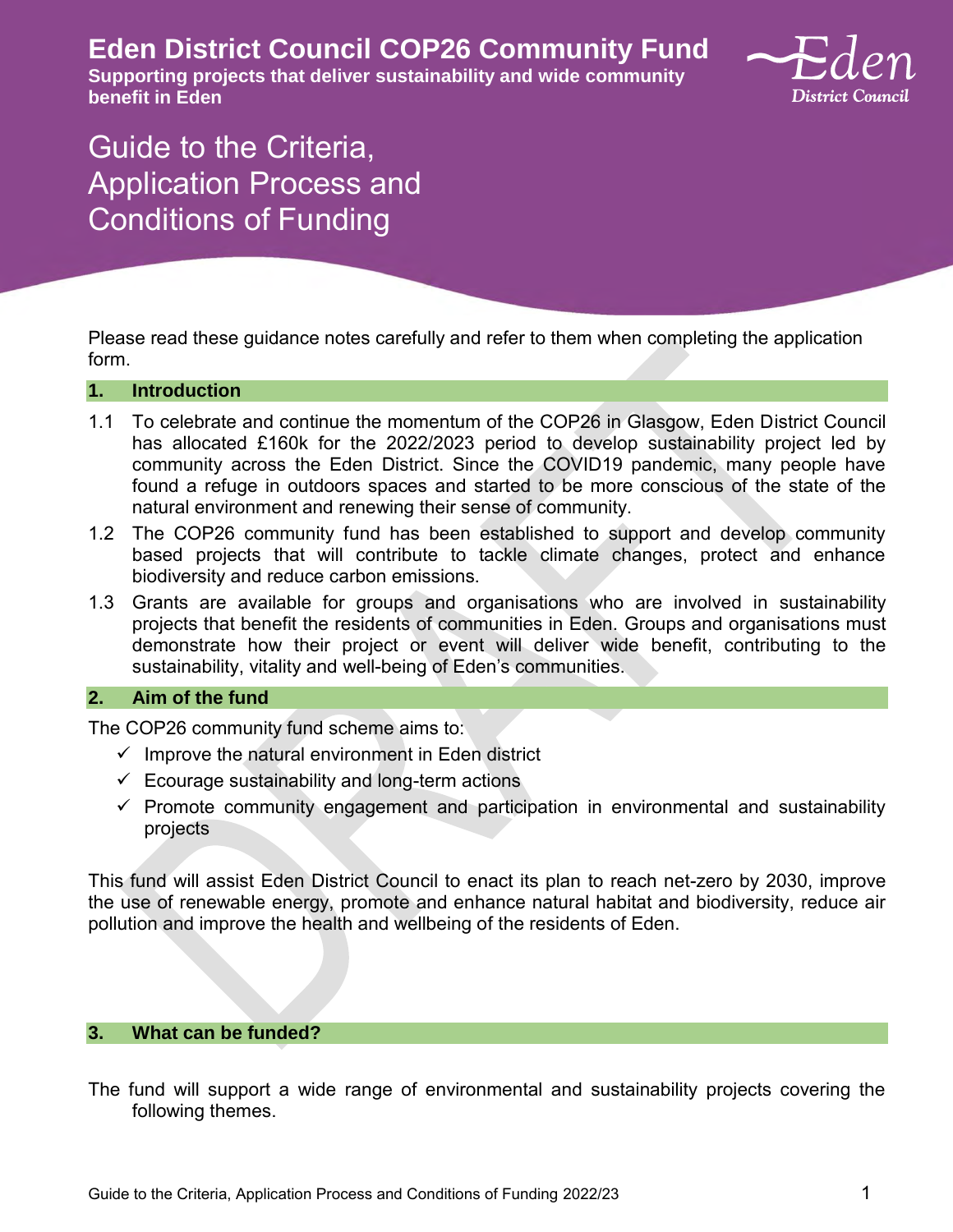**Eden District Council COP26 Community Fund** 

**Supporting projects that deliver sustainability and wide community benefit in Eden** 



# Guide to the Criteria, Application Process and Conditions of Funding

Please read these guidance notes carefully and refer to them when completing the application form.

#### **1. Introduction**

- 1.1 To celebrate and continue the momentum of the COP26 in Glasgow, Eden District Council has allocated £160k for the 2022/2023 period to develop sustainability project led by community across the Eden District. Since the COVID19 pandemic, many people have found a refuge in outdoors spaces and started to be more conscious of the state of the natural environment and renewing their sense of community.
- 1.2 The COP26 community fund has been established to support and develop community based projects that will contribute to tackle climate changes, protect and enhance biodiversity and reduce carbon emissions.
- 1.3 Grants are available for groups and organisations who are involved in sustainability projects that benefit the residents of communities in Eden. Groups and organisations must demonstrate how their project or event will deliver wide benefit, contributing to the sustainability, vitality and well-being of Eden's communities.

#### **2. Aim of the fund**

The COP26 community fund scheme aims to:

- $\checkmark$  Improve the natural environment in Eden district
- $\checkmark$  Ecourage sustainability and long-term actions
- $\checkmark$  Promote community engagement and participation in environmental and sustainability projects

This fund will assist Eden District Council to enact its plan to reach net-zero by 2030, improve the use of renewable energy, promote and enhance natural habitat and biodiversity, reduce air pollution and improve the health and wellbeing of the residents of Eden.

#### **3. What can be funded?**

The fund will support a wide range of environmental and sustainability projects covering the following themes.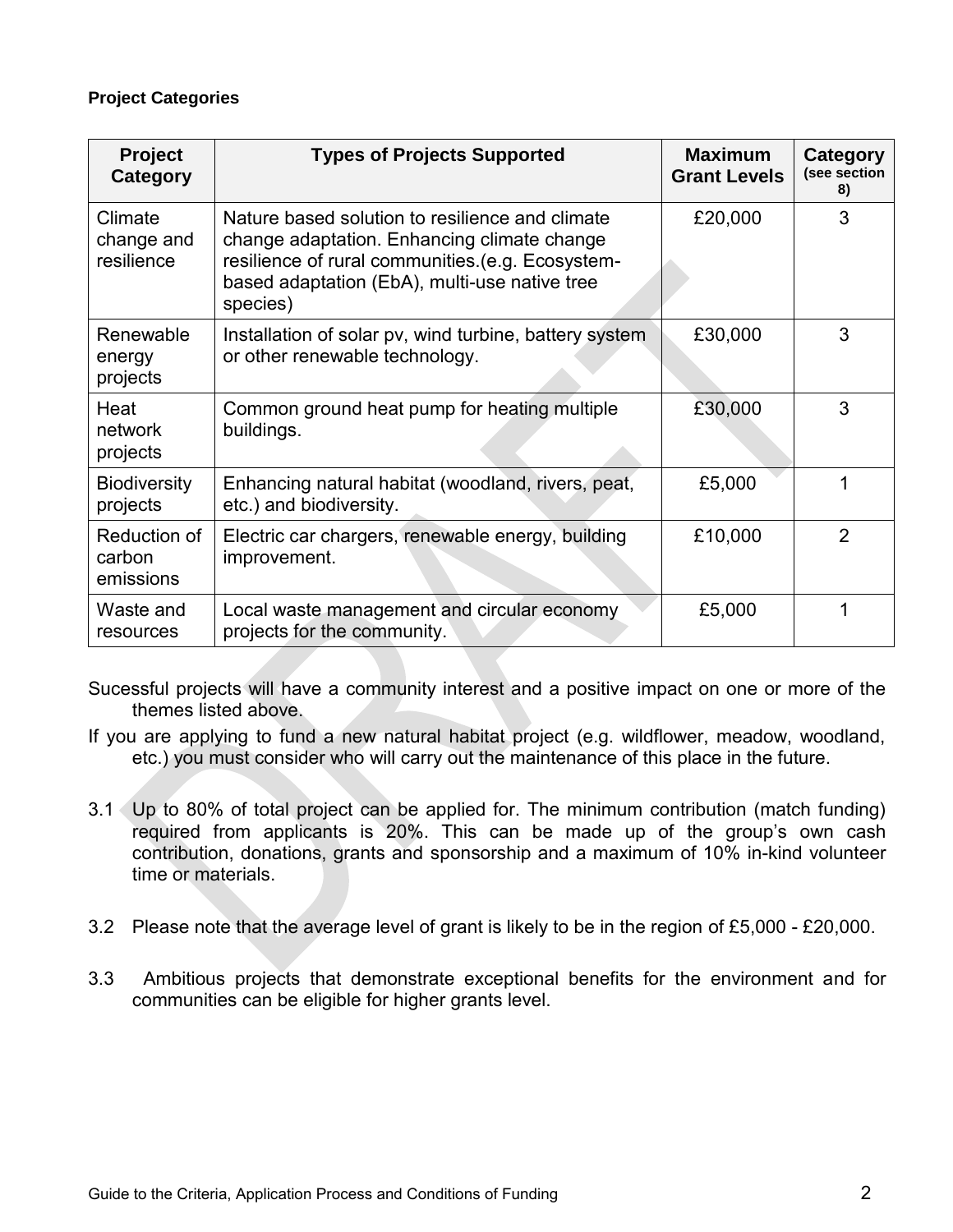#### **Project Categories**

| <b>Project</b><br>Category          | <b>Types of Projects Supported</b>                                                                                                                                                                              | <b>Maximum</b><br><b>Grant Levels</b> | Category<br>(see section<br>8) |
|-------------------------------------|-----------------------------------------------------------------------------------------------------------------------------------------------------------------------------------------------------------------|---------------------------------------|--------------------------------|
| Climate<br>change and<br>resilience | Nature based solution to resilience and climate<br>change adaptation. Enhancing climate change<br>resilience of rural communities.(e.g. Ecosystem-<br>based adaptation (EbA), multi-use native tree<br>species) | £20,000                               | 3                              |
| Renewable<br>energy<br>projects     | Installation of solar pv, wind turbine, battery system<br>or other renewable technology.                                                                                                                        | £30,000                               | 3                              |
| Heat<br>network<br>projects         | Common ground heat pump for heating multiple<br>buildings.                                                                                                                                                      | £30,000                               | 3                              |
| <b>Biodiversity</b><br>projects     | Enhancing natural habitat (woodland, rivers, peat,<br>etc.) and biodiversity.                                                                                                                                   | £5,000                                |                                |
| Reduction of<br>carbon<br>emissions | Electric car chargers, renewable energy, building<br>improvement.                                                                                                                                               | £10,000                               | $\overline{2}$                 |
| Waste and<br>resources              | Local waste management and circular economy<br>projects for the community.                                                                                                                                      | £5,000                                |                                |

Sucessful projects will have a community interest and a positive impact on one or more of the themes listed above.

If you are applying to fund a new natural habitat project (e.g. wildflower, meadow, woodland, etc.) you must consider who will carry out the maintenance of this place in the future.

- 3.1 Up to 80% of total project can be applied for. The minimum contribution (match funding) required from applicants is 20%. This can be made up of the group's own cash contribution, donations, grants and sponsorship and a maximum of 10% in-kind volunteer time or materials.
- 3.2 Please note that the average level of grant is likely to be in the region of £5,000 £20,000.
- 3.3 Ambitious projects that demonstrate exceptional benefits for the environment and for communities can be eligible for higher grants level.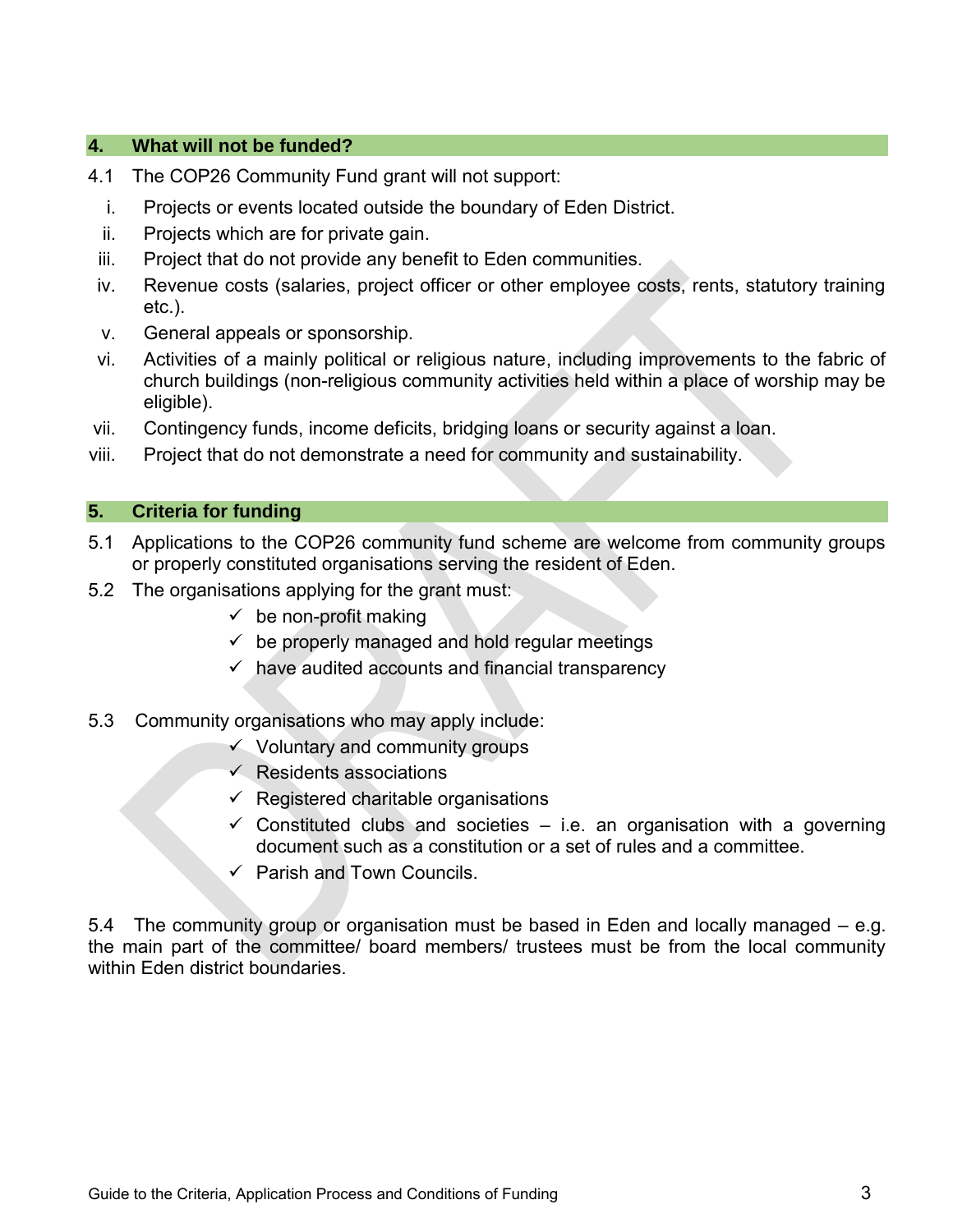### **4. What will not be funded?**

- 4.1 The COP26 Community Fund grant will not support:
	- i. Projects or events located outside the boundary of Eden District.
	- ii. Projects which are for private gain.
- iii. Project that do not provide any benefit to Eden communities.
- iv. Revenue costs (salaries, project officer or other employee costs, rents, statutory training etc.).
- v. General appeals or sponsorship.
- vi. Activities of a mainly political or religious nature, including improvements to the fabric of church buildings (non-religious community activities held within a place of worship may be eligible).
- vii. Contingency funds, income deficits, bridging loans or security against a loan.
- viii. Project that do not demonstrate a need for community and sustainability.

#### **5. Criteria for funding**

- 5.1 Applications to the COP26 community fund scheme are welcome from community groups or properly constituted organisations serving the resident of Eden.
- 5.2 The organisations applying for the grant must:
	- $\checkmark$  be non-profit making
	- $\checkmark$  be properly managed and hold regular meetings
	- $\checkmark$  have audited accounts and financial transparency
- 5.3 Community organisations who may apply include:
	- $\checkmark$  Voluntary and community groups
	- $\checkmark$  Residents associations
	- $\checkmark$  Registered charitable organisations
	- $\checkmark$  Constituted clubs and societies i.e. an organisation with a governing document such as a constitution or a set of rules and a committee.
	- $\checkmark$  Parish and Town Councils.

5.4 The community group or organisation must be based in Eden and locally managed – e.g. the main part of the committee/ board members/ trustees must be from the local community within Eden district boundaries.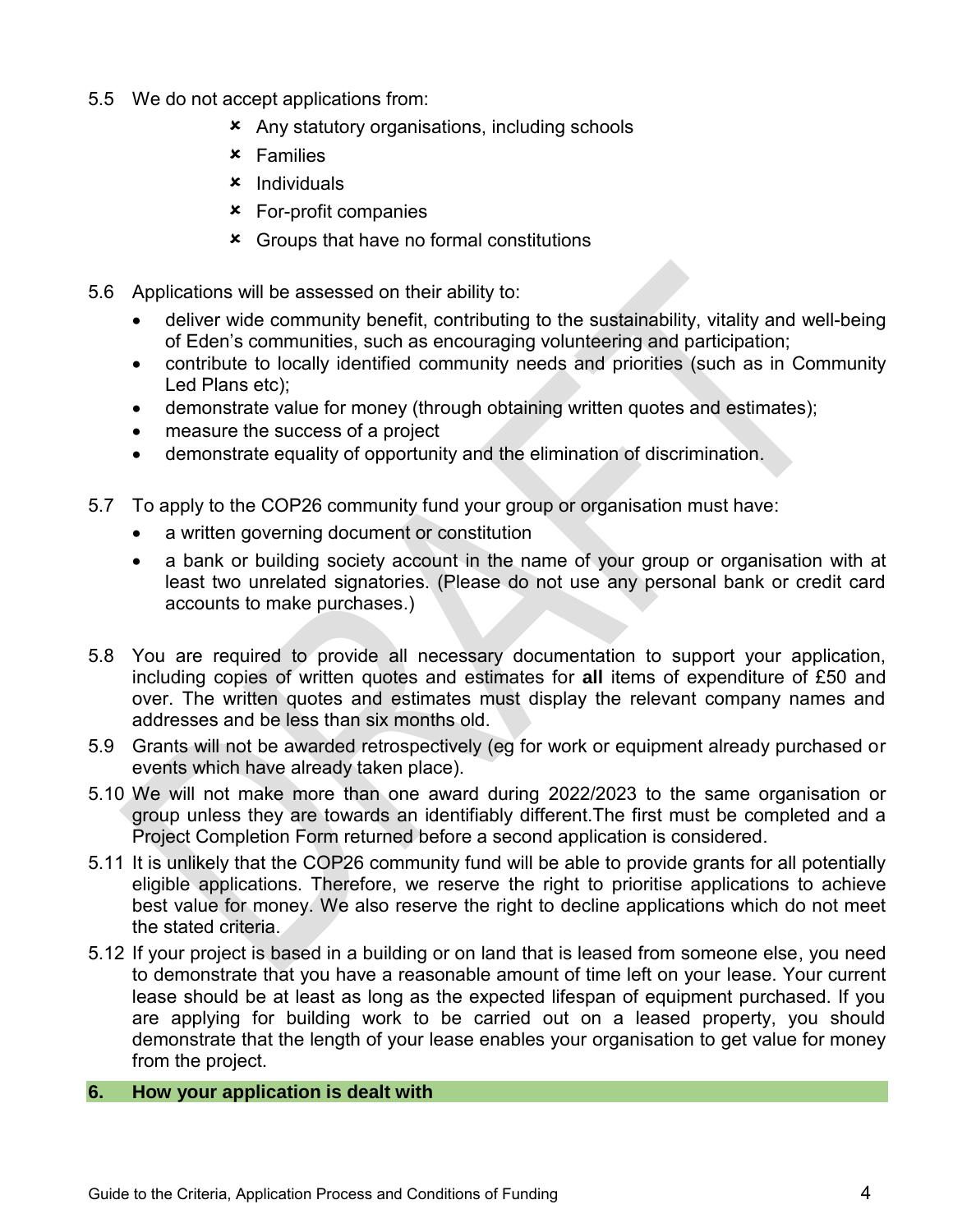- 5.5 We do not accept applications from:
	- Any statutory organisations, including schools
	- Families
	- $x$  Individuals
	- For-profit companies
	- Groups that have no formal constitutions
- 5.6 Applications will be assessed on their ability to:
	- deliver wide community benefit, contributing to the sustainability, vitality and well-being of Eden's communities, such as encouraging volunteering and participation;
	- contribute to locally identified community needs and priorities (such as in Community Led Plans etc);
	- demonstrate value for money (through obtaining written quotes and estimates);
	- measure the success of a project
	- demonstrate equality of opportunity and the elimination of discrimination.
- 5.7 To apply to the COP26 community fund your group or organisation must have:
	- a written governing document or constitution
	- a bank or building society account in the name of your group or organisation with at least two unrelated signatories. (Please do not use any personal bank or credit card accounts to make purchases.)
- 5.8 You are required to provide all necessary documentation to support your application, including copies of written quotes and estimates for **all** items of expenditure of £50 and over. The written quotes and estimates must display the relevant company names and addresses and be less than six months old.
- 5.9 Grants will not be awarded retrospectively (eg for work or equipment already purchased or events which have already taken place).
- 5.10 We will not make more than one award during 2022/2023 to the same organisation or group unless they are towards an identifiably different.The first must be completed and a Project Completion Form returned before a second application is considered.
- 5.11 It is unlikely that the COP26 community fund will be able to provide grants for all potentially eligible applications. Therefore, we reserve the right to prioritise applications to achieve best value for money. We also reserve the right to decline applications which do not meet the stated criteria.
- 5.12 If your project is based in a building or on land that is leased from someone else, you need to demonstrate that you have a reasonable amount of time left on your lease. Your current lease should be at least as long as the expected lifespan of equipment purchased. If you are applying for building work to be carried out on a leased property, you should demonstrate that the length of your lease enables your organisation to get value for money from the project.
- **6. How your application is dealt with**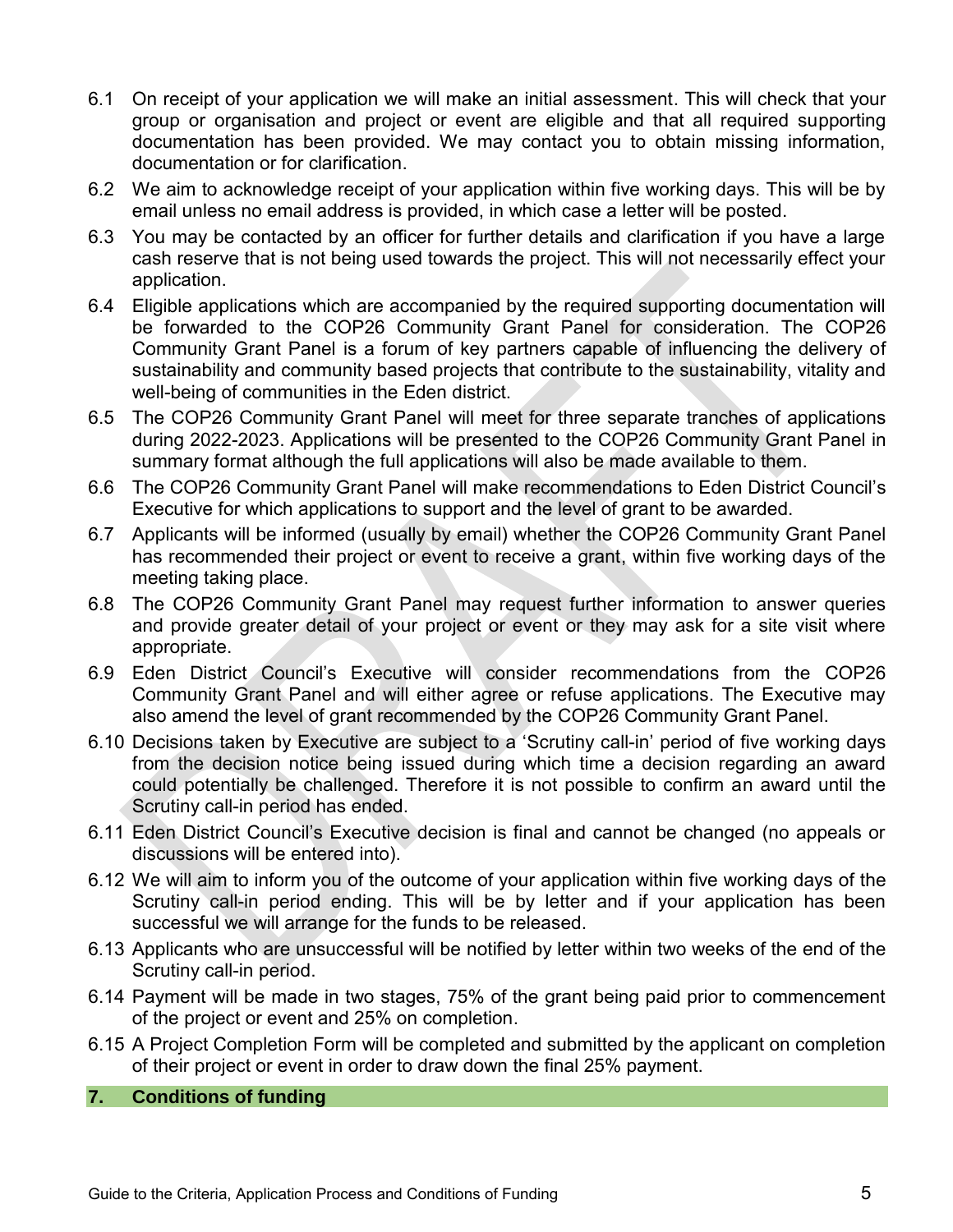- 6.1 On receipt of your application we will make an initial assessment. This will check that your group or organisation and project or event are eligible and that all required supporting documentation has been provided. We may contact you to obtain missing information, documentation or for clarification.
- 6.2 We aim to acknowledge receipt of your application within five working days. This will be by email unless no email address is provided, in which case a letter will be posted.
- 6.3 You may be contacted by an officer for further details and clarification if you have a large cash reserve that is not being used towards the project. This will not necessarily effect your application.
- 6.4 Eligible applications which are accompanied by the required supporting documentation will be forwarded to the COP26 Community Grant Panel for consideration. The COP26 Community Grant Panel is a forum of key partners capable of influencing the delivery of sustainability and community based projects that contribute to the sustainability, vitality and well-being of communities in the Eden district.
- 6.5 The COP26 Community Grant Panel will meet for three separate tranches of applications during 2022-2023. Applications will be presented to the COP26 Community Grant Panel in summary format although the full applications will also be made available to them.
- 6.6 The COP26 Community Grant Panel will make recommendations to Eden District Council's Executive for which applications to support and the level of grant to be awarded.
- 6.7 Applicants will be informed (usually by email) whether the COP26 Community Grant Panel has recommended their project or event to receive a grant, within five working days of the meeting taking place.
- 6.8 The COP26 Community Grant Panel may request further information to answer queries and provide greater detail of your project or event or they may ask for a site visit where appropriate.
- 6.9 Eden District Council's Executive will consider recommendations from the COP26 Community Grant Panel and will either agree or refuse applications. The Executive may also amend the level of grant recommended by the COP26 Community Grant Panel.
- 6.10 Decisions taken by Executive are subject to a 'Scrutiny call-in' period of five working days from the decision notice being issued during which time a decision regarding an award could potentially be challenged. Therefore it is not possible to confirm an award until the Scrutiny call-in period has ended.
- 6.11 Eden District Council's Executive decision is final and cannot be changed (no appeals or discussions will be entered into).
- 6.12 We will aim to inform you of the outcome of your application within five working days of the Scrutiny call-in period ending. This will be by letter and if your application has been successful we will arrange for the funds to be released.
- 6.13 Applicants who are unsuccessful will be notified by letter within two weeks of the end of the Scrutiny call-in period.
- 6.14 Payment will be made in two stages, 75% of the grant being paid prior to commencement of the project or event and 25% on completion.
- 6.15 A Project Completion Form will be completed and submitted by the applicant on completion of their project or event in order to draw down the final 25% payment.

### **7. Conditions of funding**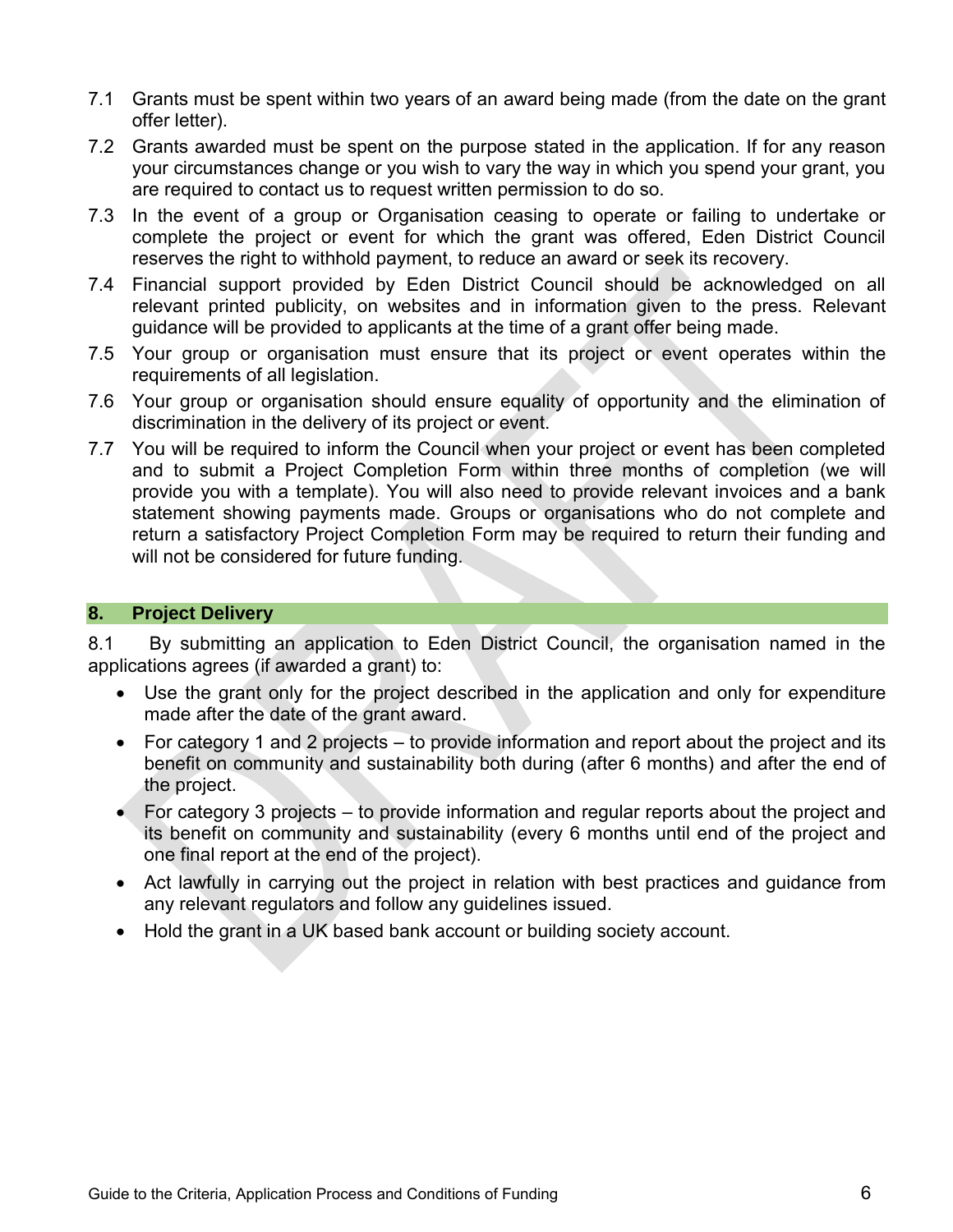- 7.1 Grants must be spent within two years of an award being made (from the date on the grant offer letter).
- 7.2 Grants awarded must be spent on the purpose stated in the application. If for any reason your circumstances change or you wish to vary the way in which you spend your grant, you are required to contact us to request written permission to do so.
- 7.3 In the event of a group or Organisation ceasing to operate or failing to undertake or complete the project or event for which the grant was offered, Eden District Council reserves the right to withhold payment, to reduce an award or seek its recovery.
- 7.4 Financial support provided by Eden District Council should be acknowledged on all relevant printed publicity, on websites and in information given to the press. Relevant guidance will be provided to applicants at the time of a grant offer being made.
- 7.5 Your group or organisation must ensure that its project or event operates within the requirements of all legislation.
- 7.6 Your group or organisation should ensure equality of opportunity and the elimination of discrimination in the delivery of its project or event.
- 7.7 You will be required to inform the Council when your project or event has been completed and to submit a Project Completion Form within three months of completion (we will provide you with a template). You will also need to provide relevant invoices and a bank statement showing payments made. Groups or organisations who do not complete and return a satisfactory Project Completion Form may be required to return their funding and will not be considered for future funding.

#### **8. Project Delivery**

8.1 By submitting an application to Eden District Council, the organisation named in the applications agrees (if awarded a grant) to:

- Use the grant only for the project described in the application and only for expenditure made after the date of the grant award.
- For category 1 and 2 projects to provide information and report about the project and its benefit on community and sustainability both during (after 6 months) and after the end of the project.
- $\bullet$  For category 3 projects to provide information and regular reports about the project and its benefit on community and sustainability (every 6 months until end of the project and one final report at the end of the project).
- Act lawfully in carrying out the project in relation with best practices and guidance from any relevant regulators and follow any guidelines issued.
- Hold the grant in a UK based bank account or building society account.